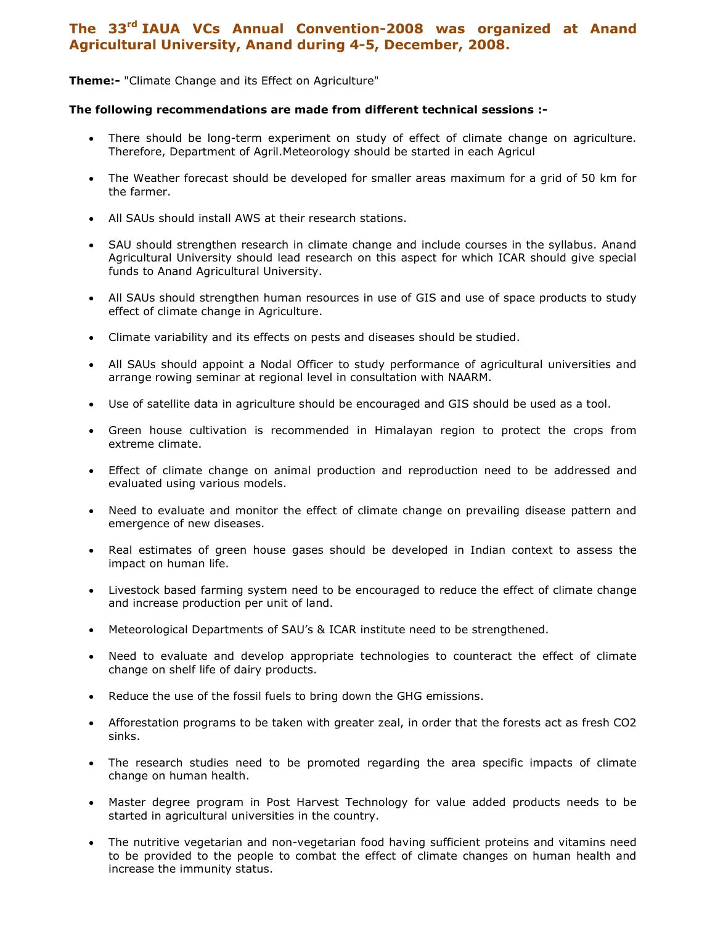## The 33<sup>rd</sup> IAUA VCs Annual Convention-2008 was organized at Anand Agricultural University, Anand during 4-5, December, 2008.

Theme:- "Climate Change and its Effect on Agriculture"

## The following recommendations are made from different technical sessions :-

- There should be long-term experiment on study of effect of climate change on agriculture. Therefore, Department of Agril.Meteorology should be started in each Agricul
- The Weather forecast should be developed for smaller areas maximum for a grid of 50 km for the farmer.
- All SAUs should install AWS at their research stations.
- SAU should strengthen research in climate change and include courses in the syllabus. Anand Agricultural University should lead research on this aspect for which ICAR should give special funds to Anand Agricultural University.
- All SAUs should strengthen human resources in use of GIS and use of space products to study effect of climate change in Agriculture.
- Climate variability and its effects on pests and diseases should be studied.
- All SAUs should appoint a Nodal Officer to study performance of agricultural universities and arrange rowing seminar at regional level in consultation with NAARM.
- Use of satellite data in agriculture should be encouraged and GIS should be used as a tool.
- Green house cultivation is recommended in Himalayan region to protect the crops from extreme climate.
- Effect of climate change on animal production and reproduction need to be addressed and evaluated using various models.
- Need to evaluate and monitor the effect of climate change on prevailing disease pattern and emergence of new diseases.
- Real estimates of green house gases should be developed in Indian context to assess the impact on human life.
- Livestock based farming system need to be encouraged to reduce the effect of climate change and increase production per unit of land.
- Meteorological Departments of SAU's & ICAR institute need to be strengthened.
- Need to evaluate and develop appropriate technologies to counteract the effect of climate change on shelf life of dairy products.
- Reduce the use of the fossil fuels to bring down the GHG emissions.
- Afforestation programs to be taken with greater zeal, in order that the forests act as fresh CO2 sinks.
- The research studies need to be promoted regarding the area specific impacts of climate change on human health.
- Master degree program in Post Harvest Technology for value added products needs to be started in agricultural universities in the country.
- The nutritive vegetarian and non-vegetarian food having sufficient proteins and vitamins need to be provided to the people to combat the effect of climate changes on human health and increase the immunity status.